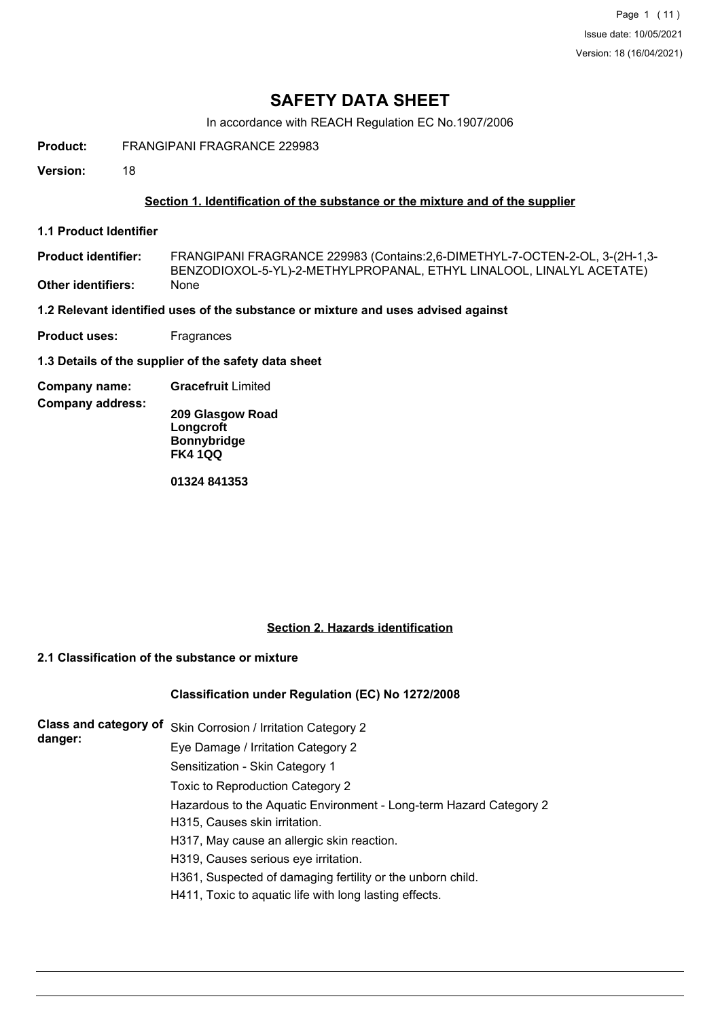## **SAFETY DATA SHEET**

In accordance with REACH Regulation EC No.1907/2006

**Product:** FRANGIPANI FRAGRANCE 229983

**Version:** 18

#### **Section 1. Identification of the substance or the mixture and of the supplier**

**1.1 Product Identifier**

**Company address:**

FRANGIPANI FRAGRANCE 229983 (Contains:2,6-DIMETHYL-7-OCTEN-2-OL, 3-(2H-1,3- BENZODIOXOL-5-YL)-2-METHYLPROPANAL, ETHYL LINALOOL, LINALYL ACETATE) **Product identifier: Other identifiers:** None

**1.2 Relevant identified uses of the substance or mixture and uses advised against**

**Product uses:** Fragrances

**1.3 Details of the supplier of the safety data sheet**

**Company name: Gracefruit** Limited

**209 Glasgow Road Longcroft Bonnybridge FK4 1QQ**

**01324 841353**

#### **Section 2. Hazards identification**

## **2.1 Classification of the substance or mixture**

#### **Classification under Regulation (EC) No 1272/2008**

| Class and category of | Skin Corrosion / Irritation Category 2                             |
|-----------------------|--------------------------------------------------------------------|
| danger:               | Eye Damage / Irritation Category 2                                 |
|                       | Sensitization - Skin Category 1                                    |
|                       | Toxic to Reproduction Category 2                                   |
|                       | Hazardous to the Aquatic Environment - Long-term Hazard Category 2 |
|                       | H315, Causes skin irritation.                                      |
|                       | H317, May cause an allergic skin reaction.                         |
|                       | H319, Causes serious eye irritation.                               |
|                       | H361, Suspected of damaging fertility or the unborn child.         |
|                       | H411, Toxic to aquatic life with long lasting effects.             |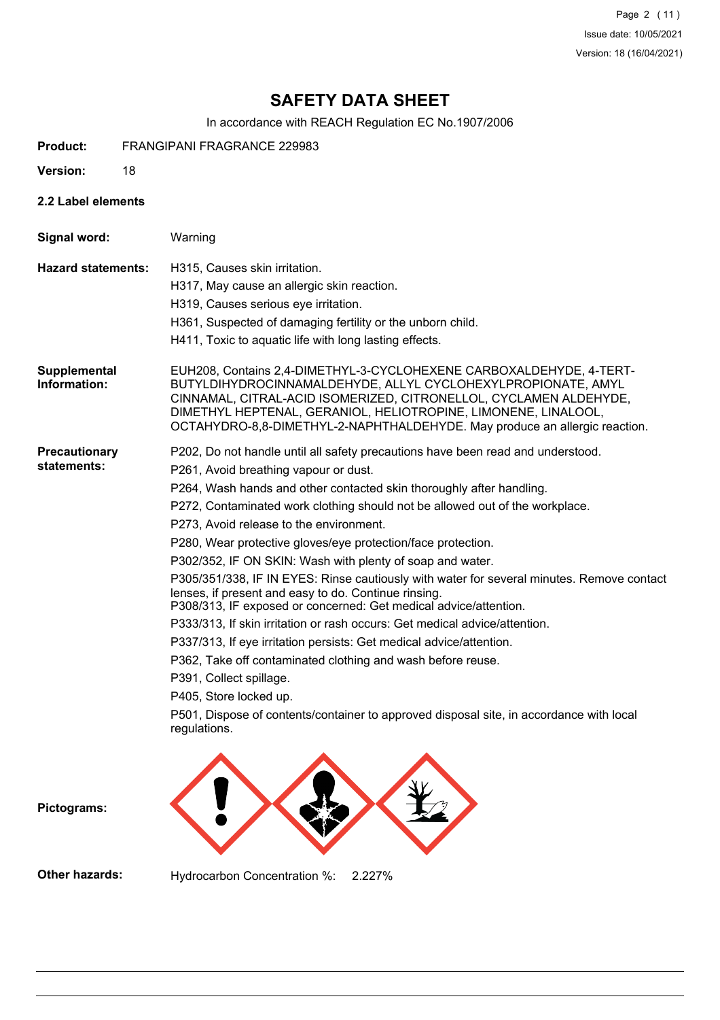Page 2 (11) Issue date: 10/05/2021 Version: 18 (16/04/2021)

# **SAFETY DATA SHEET**

In accordance with REACH Regulation EC No.1907/2006

- **Product:** FRANGIPANI FRAGRANCE 229983
- **Version:** 18
- **2.2 Label elements**

| Signal word:                        | Warning                                                                                                                                                                                                                                                                                                                                                                                                                                                                                                                                                                                                                                                                                                                                                                                                                                                                                                                                                                                                                                                               |
|-------------------------------------|-----------------------------------------------------------------------------------------------------------------------------------------------------------------------------------------------------------------------------------------------------------------------------------------------------------------------------------------------------------------------------------------------------------------------------------------------------------------------------------------------------------------------------------------------------------------------------------------------------------------------------------------------------------------------------------------------------------------------------------------------------------------------------------------------------------------------------------------------------------------------------------------------------------------------------------------------------------------------------------------------------------------------------------------------------------------------|
| <b>Hazard statements:</b>           | H315, Causes skin irritation.<br>H317, May cause an allergic skin reaction.<br>H319, Causes serious eye irritation.<br>H361, Suspected of damaging fertility or the unborn child.<br>H411, Toxic to aquatic life with long lasting effects.                                                                                                                                                                                                                                                                                                                                                                                                                                                                                                                                                                                                                                                                                                                                                                                                                           |
| <b>Supplemental</b><br>Information: | EUH208, Contains 2,4-DIMETHYL-3-CYCLOHEXENE CARBOXALDEHYDE, 4-TERT-<br>BUTYLDIHYDROCINNAMALDEHYDE, ALLYL CYCLOHEXYLPROPIONATE, AMYL<br>CINNAMAL, CITRAL-ACID ISOMERIZED, CITRONELLOL, CYCLAMEN ALDEHYDE,<br>DIMETHYL HEPTENAL, GERANIOL, HELIOTROPINE, LIMONENE, LINALOOL,<br>OCTAHYDRO-8,8-DIMETHYL-2-NAPHTHALDEHYDE. May produce an allergic reaction.                                                                                                                                                                                                                                                                                                                                                                                                                                                                                                                                                                                                                                                                                                              |
| Precautionary<br>statements:        | P202, Do not handle until all safety precautions have been read and understood.<br>P261, Avoid breathing vapour or dust.<br>P264, Wash hands and other contacted skin thoroughly after handling.<br>P272, Contaminated work clothing should not be allowed out of the workplace.<br>P273, Avoid release to the environment.<br>P280, Wear protective gloves/eye protection/face protection.<br>P302/352, IF ON SKIN: Wash with plenty of soap and water.<br>P305/351/338, IF IN EYES: Rinse cautiously with water for several minutes. Remove contact<br>lenses, if present and easy to do. Continue rinsing.<br>P308/313, IF exposed or concerned: Get medical advice/attention.<br>P333/313, If skin irritation or rash occurs: Get medical advice/attention.<br>P337/313, If eye irritation persists: Get medical advice/attention.<br>P362, Take off contaminated clothing and wash before reuse.<br>P391, Collect spillage.<br>P405, Store locked up.<br>P501, Dispose of contents/container to approved disposal site, in accordance with local<br>regulations. |

**Pictograms:**

**Other hazards:** Hydrocarbon Concentration %: 2.227%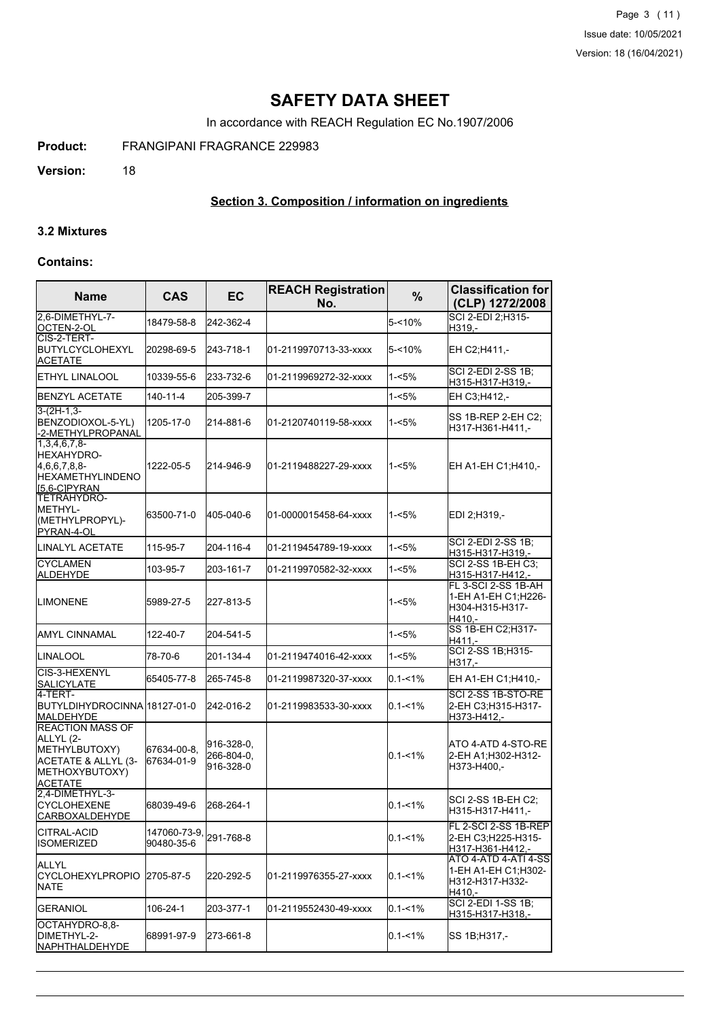Page 3 (11) Issue date: 10/05/2021 Version: 18 (16/04/2021)

## **SAFETY DATA SHEET**

In accordance with REACH Regulation EC No.1907/2006

**Product:** FRANGIPANI FRAGRANCE 229983

**Version:** 18

## **Section 3. Composition / information on ingredients**

#### **3.2 Mixtures**

#### **Contains:**

| <b>Name</b>                                                                                                      | <b>CAS</b>                 | <b>EC</b>                             | <b>REACH Registration</b><br>No. | $\frac{9}{6}$ | <b>Classification for</b><br>(CLP) 1272/2008                             |
|------------------------------------------------------------------------------------------------------------------|----------------------------|---------------------------------------|----------------------------------|---------------|--------------------------------------------------------------------------|
| 2.6-DIMETHYL-7-<br>OCTEN-2-OL                                                                                    | 18479-58-8                 | 242-362-4                             |                                  | $5 - 10%$     | SCI 2-EDI 2;H315-<br>H319,-                                              |
| CIS-2-TERT-<br>BUTYLCYCLOHEXYL<br><b>ACETATE</b>                                                                 | 20298-69-5                 | 243-718-1                             | 01-2119970713-33-xxxx            | $5 - 10%$     | EH C2;H411,-                                                             |
| ETHYL LINALOOL                                                                                                   | 10339-55-6                 | 233-732-6                             | 01-2119969272-32-xxxx            | $1 - 5%$      | <b>SCI 2-EDI 2-SS 1B;</b><br>H315-H317-H319,-                            |
| <b>BENZYL ACETATE</b>                                                                                            | 140-11-4                   | 205-399-7                             |                                  | $1 - 5%$      | EH C3;H412,-                                                             |
| $3-(2H-1,3-$<br>BENZODIOXOL-5-YL)<br>-2-METHYLPROPANAL                                                           | 1205-17-0                  | 214-881-6                             | 01-2120740119-58-xxxx            | $1 - 5%$      | SS 1B-REP 2-EH C2;<br>H317-H361-H411.-                                   |
| $1.3.4.6.7.8 -$<br>HEXAHYDRO-<br>4,6,6,7,8,8-<br><b>HEXAMETHYLINDENO</b><br>[5,6-C]PYRAN                         | 1222-05-5                  | 214-946-9                             | l01-2119488227-29-xxxx           | $1 - 5%$      | EH A1-EH C1; H410,-                                                      |
| TETRAHYDRO-<br>IMETHYL-<br>(METHYLPROPYL)-<br>PYRAN-4-OL                                                         | 63500-71-0                 | 405-040-6                             | 01-0000015458-64-xxxx            | $1 - 5%$      | EDI 2;H319,-                                                             |
| LINALYL ACETATE                                                                                                  | 115-95-7                   | 204-116-4                             | l01-2119454789-19-xxxx           | $1 - 5%$      | SCI 2-EDI 2-SS 1B;<br>H315-H317-H319,-                                   |
| <b>CYCLAMEN</b><br><b>ALDEHYDE</b>                                                                               | 103-95-7                   | 203-161-7                             | 01-2119970582-32-xxxx            | 1-<5%         | <b>SCI 2-SS 1B-EH C3:</b><br>H315-H317-H412,-                            |
| <b>LIMONENE</b>                                                                                                  | 5989-27-5                  | 227-813-5                             |                                  | $1 - 5%$      | FL 3-SCI 2-SS 1B-AH<br>1-EH A1-EH C1:H226-<br>H304-H315-H317-<br>H410.-  |
| IAMYL CINNAMAL                                                                                                   | 122-40-7                   | 204-541-5                             |                                  | $1 - 5%$      | SS 1B-EH C2; H317-<br>H411.-                                             |
| LINALOOL                                                                                                         | 78-70-6                    | 201-134-4                             | 01-2119474016-42-xxxx            | $1 - 5%$      | SCI 2-SS 1B; H315-<br>H317.-                                             |
| ICIS-3-HEXENYL<br>SALICYLATE                                                                                     | 65405-77-8                 | 265-745-8                             | 01-2119987320-37-xxxx            | $0.1 - 1\%$   | EH A1-EH C1; H410,-                                                      |
| l4-TERT-<br>BUTYLDIHYDROCINNA 18127-01-0<br>MALDEHYDE                                                            |                            | 242-016-2                             | 01-2119983533-30-xxxx            | $0.1 - 1\%$   | SCI 2-SS 1B-STO-RE<br>2-EH C3:H315-H317-<br>H373-H412,-                  |
| <b>REACTION MASS OF</b><br>ALLYL (2-<br>METHYLBUTOXY)<br>ACETATE & ALLYL (3-<br>METHOXYBUTOXY)<br><b>ACETATE</b> | 67634-00-8.<br>67634-01-9  | 916-328-0,<br>266-804-0,<br>916-328-0 |                                  | $0.1 - 1\%$   | ATO 4-ATD 4-STO-RE<br>2-EH A1: H302-H312-<br>H373-H400,-                 |
| 2,4-DIMETHYL-3-<br><b>CYCLOHEXENE</b><br> CARBOXALDEHYDE                                                         | 68039-49-6                 | 268-264-1                             |                                  | $0.1 - 1\%$   | SCI 2-SS 1B-EH C2:<br>H315-H317-H411,-                                   |
| CITRAL-ACID<br><b>ISOMERIZED</b>                                                                                 | 147060-73-9,<br>90480-35-6 | 291-768-8                             |                                  | $0.1 - 1\%$   | FL 2-SCI 2-SS 1B-REP<br>2-EH C3;H225-H315-<br>H317-H361-H412,-           |
| ALLYL<br><b>CYCLOHEXYLPROPIO</b><br><b>NATE</b>                                                                  | 2705-87-5                  | 220-292-5                             | 01-2119976355-27-xxxx            | $0.1 - 1\%$   | ATO 4-ATD 4-ATI 4-SS<br>1-EH A1-EH C1;H302-<br>H312-H317-H332-<br>H410,- |
| <b>GERANIOL</b>                                                                                                  | 106-24-1                   | 203-377-1                             | 01-2119552430-49-xxxx            | $0.1 - 1\%$   | <b>SCI 2-EDI 1-SS 1B;</b><br>H315-H317-H318,-                            |
| OCTAHYDRO-8,8-<br>DIMETHYL-2-<br>NAPHTHALDEHYDE                                                                  | 68991-97-9                 | 273-661-8                             |                                  | $0.1 - 1\%$   | SS 1B;H317,-                                                             |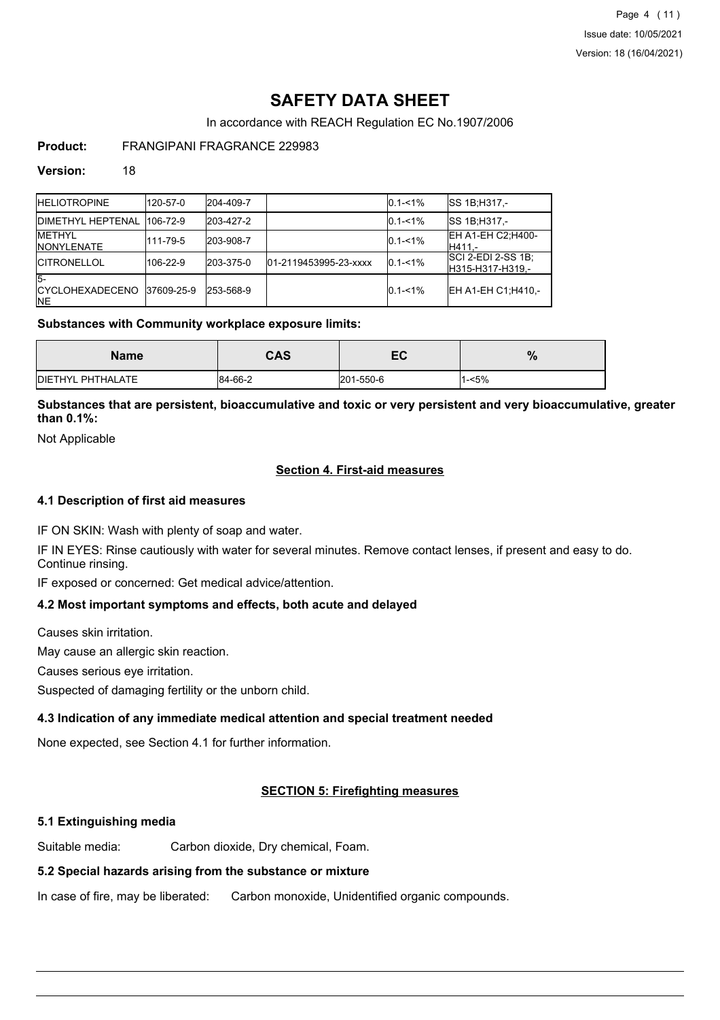Page 4 (11) Issue date: 10/05/2021 Version: 18 (16/04/2021)

# **SAFETY DATA SHEET**

In accordance with REACH Regulation EC No.1907/2006

### **Product:** FRANGIPANI FRAGRANCE 229983

#### **Version:** 18

| <b>IHELIOTROPINE</b>                          | 120-57-0   | 204-409-7 |                       | $0.1 - 1\%$ | <b>SS 1B:H317.-</b>                     |
|-----------------------------------------------|------------|-----------|-----------------------|-------------|-----------------------------------------|
| <b>IDIMETHYL HEPTENAL</b>                     | 1106-72-9  | 203-427-2 |                       | $0.1 - 1\%$ | <b>SS 1B:H317.-</b>                     |
| <b>IMETHYL</b><br><b>INONYLENATE</b>          | 111-79-5   | 203-908-7 |                       | $0.1 - 1\%$ | EH A1-EH C2; H400-<br>IH411.-           |
| <b>ICITRONELLOL</b>                           | 106-22-9   | 203-375-0 | 01-2119453995-23-xxxx | $0.1 - 1\%$ | SCI 2-EDI 2-SS 1B;<br>IH315-H317-H319.- |
| $5-$<br><b>ICYCLOHEXADECENO</b><br><b>INE</b> | 37609-25-9 | 253-568-9 |                       | $0.1 - 1\%$ | EH A1-EH C1: H410 .-                    |

#### **Substances with Community workplace exposure limits:**

| Name              | <b>CAS</b> | ГЛ<br>cu, | %    |
|-------------------|------------|-----------|------|
| DIETHYL PHTHALATE | 84-66-2    | 201-550-6 | -<5% |

**Substances that are persistent, bioaccumulative and toxic or very persistent and very bioaccumulative, greater than 0.1%:**

Not Applicable

#### **Section 4. First-aid measures**

#### **4.1 Description of first aid measures**

IF ON SKIN: Wash with plenty of soap and water.

IF IN EYES: Rinse cautiously with water for several minutes. Remove contact lenses, if present and easy to do. Continue rinsing.

IF exposed or concerned: Get medical advice/attention.

#### **4.2 Most important symptoms and effects, both acute and delayed**

Causes skin irritation.

May cause an allergic skin reaction.

Causes serious eye irritation.

Suspected of damaging fertility or the unborn child.

## **4.3 Indication of any immediate medical attention and special treatment needed**

None expected, see Section 4.1 for further information.

## **SECTION 5: Firefighting measures**

### **5.1 Extinguishing media**

Suitable media: Carbon dioxide, Dry chemical, Foam.

## **5.2 Special hazards arising from the substance or mixture**

In case of fire, may be liberated: Carbon monoxide, Unidentified organic compounds.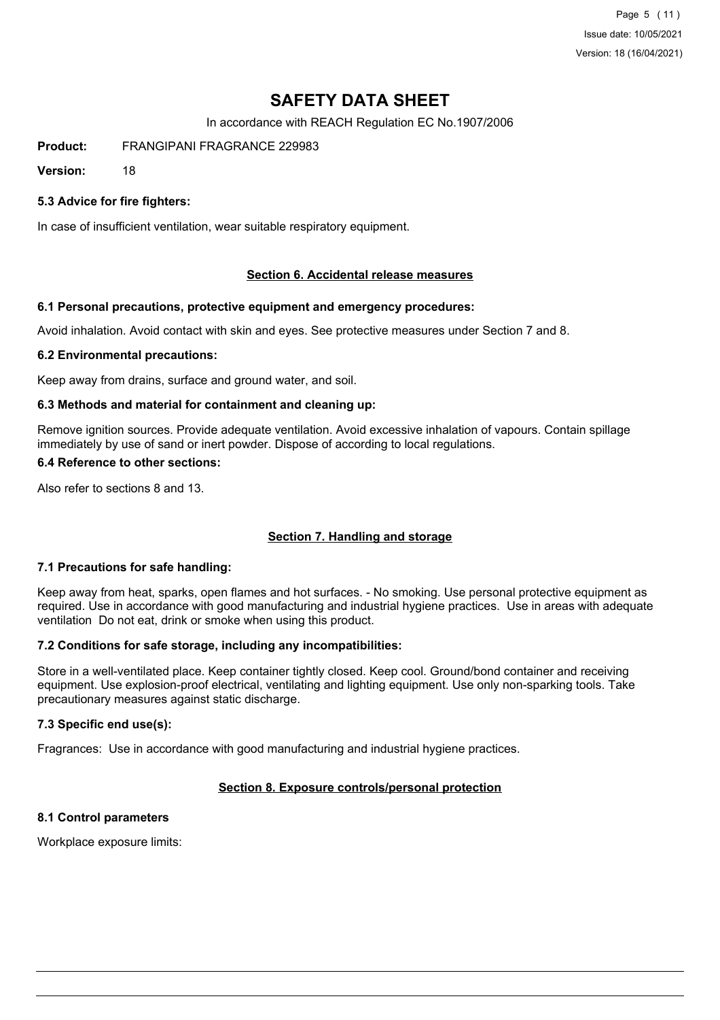Page 5 (11) Issue date: 10/05/2021 Version: 18 (16/04/2021)

# **SAFETY DATA SHEET**

In accordance with REACH Regulation EC No.1907/2006

**Product:** FRANGIPANI FRAGRANCE 229983

**Version:** 18

#### **5.3 Advice for fire fighters:**

In case of insufficient ventilation, wear suitable respiratory equipment.

#### **Section 6. Accidental release measures**

#### **6.1 Personal precautions, protective equipment and emergency procedures:**

Avoid inhalation. Avoid contact with skin and eyes. See protective measures under Section 7 and 8.

#### **6.2 Environmental precautions:**

Keep away from drains, surface and ground water, and soil.

#### **6.3 Methods and material for containment and cleaning up:**

Remove ignition sources. Provide adequate ventilation. Avoid excessive inhalation of vapours. Contain spillage immediately by use of sand or inert powder. Dispose of according to local regulations.

#### **6.4 Reference to other sections:**

Also refer to sections 8 and 13.

#### **Section 7. Handling and storage**

#### **7.1 Precautions for safe handling:**

Keep away from heat, sparks, open flames and hot surfaces. - No smoking. Use personal protective equipment as required. Use in accordance with good manufacturing and industrial hygiene practices. Use in areas with adequate ventilation Do not eat, drink or smoke when using this product.

#### **7.2 Conditions for safe storage, including any incompatibilities:**

Store in a well-ventilated place. Keep container tightly closed. Keep cool. Ground/bond container and receiving equipment. Use explosion-proof electrical, ventilating and lighting equipment. Use only non-sparking tools. Take precautionary measures against static discharge.

#### **7.3 Specific end use(s):**

Fragrances: Use in accordance with good manufacturing and industrial hygiene practices.

### **Section 8. Exposure controls/personal protection**

### **8.1 Control parameters**

Workplace exposure limits: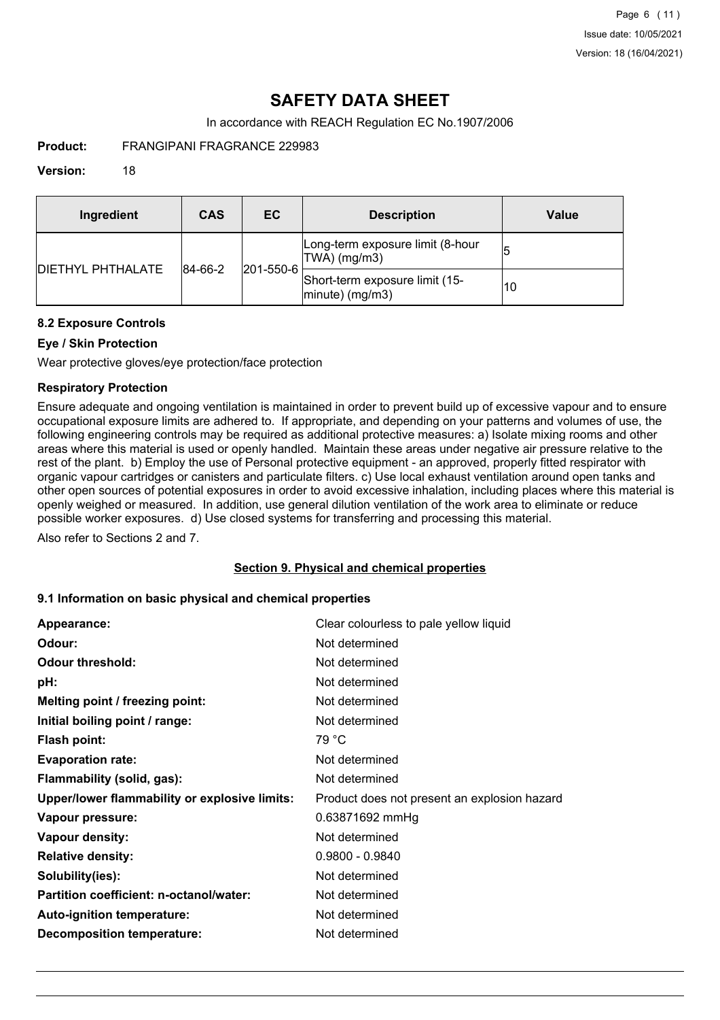# **SAFETY DATA SHEET**

In accordance with REACH Regulation EC No.1907/2006

**Product:** FRANGIPANI FRAGRANCE 229983

#### **Version:** 18

| Ingredient                | CAS                          | EC.                                                  | <b>Description</b>                               | Value |
|---------------------------|------------------------------|------------------------------------------------------|--------------------------------------------------|-------|
| <b>IDIETHYL PHTHALATE</b> | $ 201 - 550 - 6 $<br>84-66-2 |                                                      | Long-term exposure limit (8-hour<br>TWA) (mg/m3) | 15    |
|                           |                              | Short-term exposure limit (15-<br>$ minute)$ (mg/m3) | 10                                               |       |

#### **8.2 Exposure Controls**

#### **Eye / Skin Protection**

Wear protective gloves/eye protection/face protection

#### **Respiratory Protection**

Ensure adequate and ongoing ventilation is maintained in order to prevent build up of excessive vapour and to ensure occupational exposure limits are adhered to. If appropriate, and depending on your patterns and volumes of use, the following engineering controls may be required as additional protective measures: a) Isolate mixing rooms and other areas where this material is used or openly handled. Maintain these areas under negative air pressure relative to the rest of the plant. b) Employ the use of Personal protective equipment - an approved, properly fitted respirator with organic vapour cartridges or canisters and particulate filters. c) Use local exhaust ventilation around open tanks and other open sources of potential exposures in order to avoid excessive inhalation, including places where this material is openly weighed or measured. In addition, use general dilution ventilation of the work area to eliminate or reduce possible worker exposures. d) Use closed systems for transferring and processing this material.

Also refer to Sections 2 and 7.

#### **Section 9. Physical and chemical properties**

#### **9.1 Information on basic physical and chemical properties**

| Appearance:                                   | Clear colourless to pale yellow liquid       |
|-----------------------------------------------|----------------------------------------------|
| Odour:                                        | Not determined                               |
| <b>Odour threshold:</b>                       | Not determined                               |
| pH:                                           | Not determined                               |
| Melting point / freezing point:               | Not determined                               |
| Initial boiling point / range:                | Not determined                               |
| Flash point:                                  | 79 °C                                        |
| <b>Evaporation rate:</b>                      | Not determined                               |
| Flammability (solid, gas):                    | Not determined                               |
| Upper/lower flammability or explosive limits: | Product does not present an explosion hazard |
| Vapour pressure:                              | 0.63871692 mmHg                              |
| Vapour density:                               | Not determined                               |
| <b>Relative density:</b>                      | $0.9800 - 0.9840$                            |
| Solubility(ies):                              | Not determined                               |
| Partition coefficient: n-octanol/water:       | Not determined                               |
| Auto-ignition temperature:                    | Not determined                               |
| <b>Decomposition temperature:</b>             | Not determined                               |
|                                               |                                              |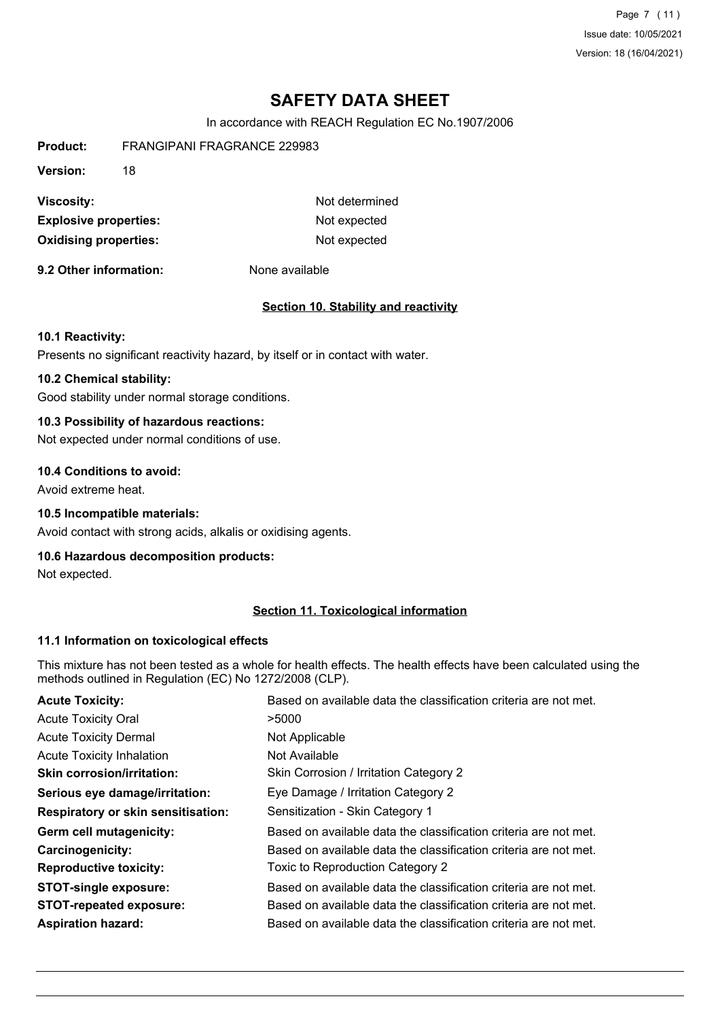Page 7 (11) Issue date: 10/05/2021 Version: 18 (16/04/2021)

# **SAFETY DATA SHEET**

In accordance with REACH Regulation EC No.1907/2006

| <b>Product:</b>              | FRANGIPANI FRAGRANCE 229983 |                |
|------------------------------|-----------------------------|----------------|
| <b>Version:</b>              | 18                          |                |
| <b>Viscosity:</b>            |                             | Not determined |
| <b>Explosive properties:</b> |                             | Not expected   |
| <b>Oxidising properties:</b> |                             | Not expected   |
|                              |                             |                |

**9.2 Other information:** None available

#### **Section 10. Stability and reactivity**

#### **10.1 Reactivity:**

Presents no significant reactivity hazard, by itself or in contact with water.

#### **10.2 Chemical stability:**

Good stability under normal storage conditions.

#### **10.3 Possibility of hazardous reactions:**

Not expected under normal conditions of use.

#### **10.4 Conditions to avoid:**

Avoid extreme heat.

#### **10.5 Incompatible materials:**

Avoid contact with strong acids, alkalis or oxidising agents.

#### **10.6 Hazardous decomposition products:**

Not expected.

#### **Section 11. Toxicological information**

#### **11.1 Information on toxicological effects**

This mixture has not been tested as a whole for health effects. The health effects have been calculated using the methods outlined in Regulation (EC) No 1272/2008 (CLP).

| <b>Acute Toxicity:</b>             | Based on available data the classification criteria are not met. |
|------------------------------------|------------------------------------------------------------------|
| <b>Acute Toxicity Oral</b>         | >5000                                                            |
| <b>Acute Toxicity Dermal</b>       | Not Applicable                                                   |
| <b>Acute Toxicity Inhalation</b>   | Not Available                                                    |
| <b>Skin corrosion/irritation:</b>  | Skin Corrosion / Irritation Category 2                           |
| Serious eye damage/irritation:     | Eye Damage / Irritation Category 2                               |
| Respiratory or skin sensitisation: | Sensitization - Skin Category 1                                  |
| Germ cell mutagenicity:            | Based on available data the classification criteria are not met. |
| <b>Carcinogenicity:</b>            | Based on available data the classification criteria are not met. |
| <b>Reproductive toxicity:</b>      | Toxic to Reproduction Category 2                                 |
| <b>STOT-single exposure:</b>       | Based on available data the classification criteria are not met. |
| <b>STOT-repeated exposure:</b>     | Based on available data the classification criteria are not met. |
| <b>Aspiration hazard:</b>          | Based on available data the classification criteria are not met. |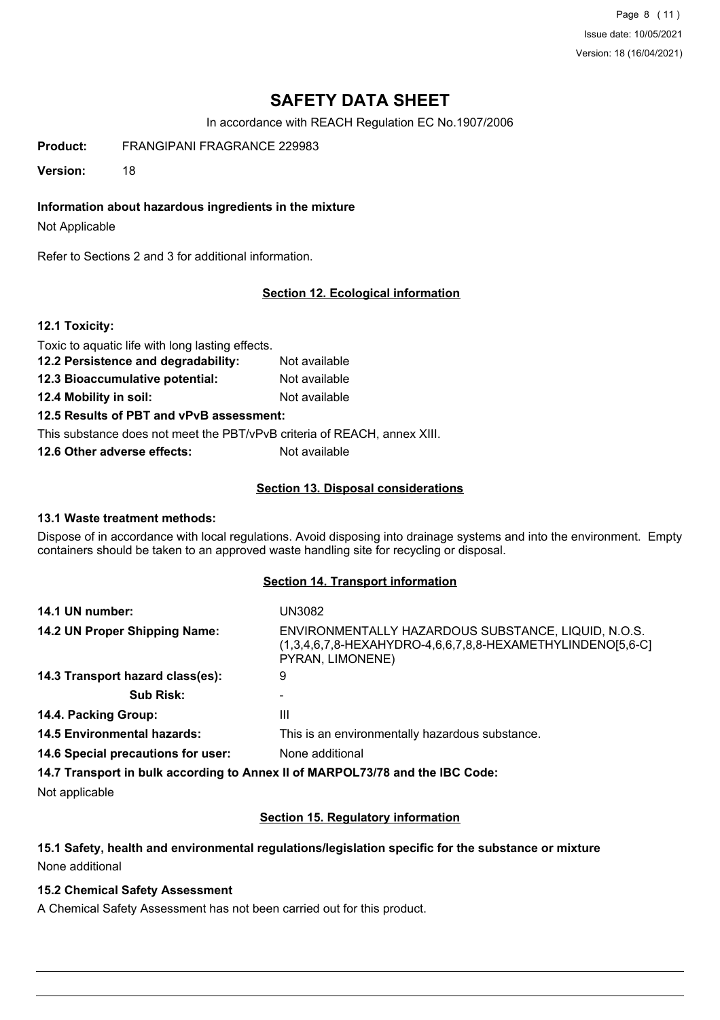Page 8 (11) Issue date: 10/05/2021 Version: 18 (16/04/2021)

# **SAFETY DATA SHEET**

In accordance with REACH Regulation EC No.1907/2006

**Product:** FRANGIPANI FRAGRANCE 229983

**Version:** 18

**Information about hazardous ingredients in the mixture**

Not Applicable

Refer to Sections 2 and 3 for additional information.

### **Section 12. Ecological information**

#### **12.1 Toxicity:**

Toxic to aquatic life with long lasting effects.

- **12.2 Persistence and degradability:** Not available **12.3 Bioaccumulative potential:** Not available
- **12.4 Mobility in soil:** Not available

**12.5 Results of PBT and vPvB assessment:**

This substance does not meet the PBT/vPvB criteria of REACH, annex XIII.

**12.6 Other adverse effects:** Not available

#### **Section 13. Disposal considerations**

#### **13.1 Waste treatment methods:**

Dispose of in accordance with local regulations. Avoid disposing into drainage systems and into the environment. Empty containers should be taken to an approved waste handling site for recycling or disposal.

#### **Section 14. Transport information**

| 14.1 UN number:                    | <b>UN3082</b>                                                                                                                            |
|------------------------------------|------------------------------------------------------------------------------------------------------------------------------------------|
| 14.2 UN Proper Shipping Name:      | ENVIRONMENTALLY HAZARDOUS SUBSTANCE, LIQUID, N.O.S.<br>$(1,3,4,6,7,8$ -HEXAHYDRO-4,6,6,7,8,8-HEXAMETHYLINDENO[5,6-C]<br>PYRAN, LIMONENE) |
| 14.3 Transport hazard class(es):   | 9                                                                                                                                        |
| <b>Sub Risk:</b>                   |                                                                                                                                          |
| 14.4. Packing Group:               | Ш                                                                                                                                        |
| <b>14.5 Environmental hazards:</b> | This is an environmentally hazardous substance.                                                                                          |
| 14.6 Special precautions for user: | None additional                                                                                                                          |
|                                    | 14.7 Transport in bulk according to Annex II of MARPOL73/78 and the IBC Code:                                                            |

Not applicable

#### **Section 15. Regulatory information**

#### **15.1 Safety, health and environmental regulations/legislation specific for the substance or mixture** None additional

### **15.2 Chemical Safety Assessment**

A Chemical Safety Assessment has not been carried out for this product.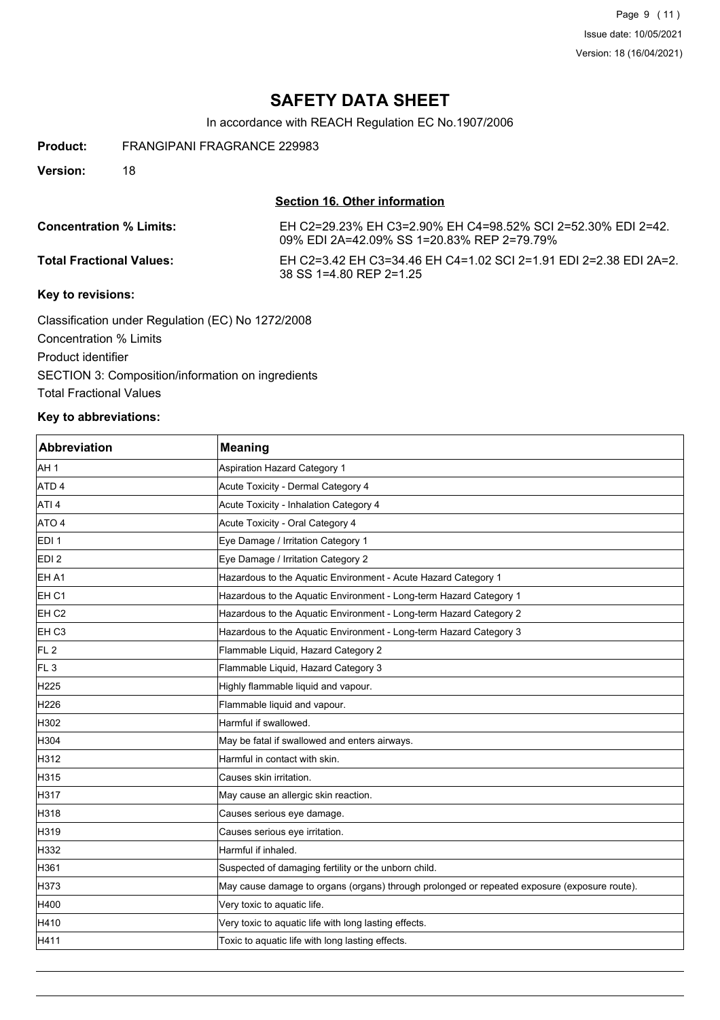Page 9 (11) Issue date: 10/05/2021 Version: 18 (16/04/2021)

## **SAFETY DATA SHEET**

In accordance with REACH Regulation EC No.1907/2006

**Product:** FRANGIPANI FRAGRANCE 229983

**Version:** 18

#### **Section 16. Other information**

**Concentration % Limits:** EH C2=29.23% EH C3=2.90% EH C4=98.52% SCI 2=52.30% EDI 2=42. 09% EDI 2A=42.09% SS 1=20.83% REP 2=79.79%

**Total Fractional Values:** EH C2=3.42 EH C3=34.46 EH C4=1.02 SCI 2=1.91 EDI 2=2.38 EDI 2A=2. 38 SS 1=4.80 REP 2=1.25

#### **Key to revisions:**

Classification under Regulation (EC) No 1272/2008 Concentration % Limits Product identifier SECTION 3: Composition/information on ingredients Total Fractional Values

#### **Key to abbreviations:**

| <b>Abbreviation</b> | <b>Meaning</b>                                                                               |
|---------------------|----------------------------------------------------------------------------------------------|
| AH 1                | <b>Aspiration Hazard Category 1</b>                                                          |
| ATD <sub>4</sub>    | Acute Toxicity - Dermal Category 4                                                           |
| ATI <sub>4</sub>    | Acute Toxicity - Inhalation Category 4                                                       |
| ATO 4               | Acute Toxicity - Oral Category 4                                                             |
| EDI <sub>1</sub>    | Eye Damage / Irritation Category 1                                                           |
| EDI <sub>2</sub>    | Eye Damage / Irritation Category 2                                                           |
| EH A1               | Hazardous to the Aquatic Environment - Acute Hazard Category 1                               |
| EH C1               | Hazardous to the Aquatic Environment - Long-term Hazard Category 1                           |
| EH <sub>C2</sub>    | Hazardous to the Aquatic Environment - Long-term Hazard Category 2                           |
| EH C3               | Hazardous to the Aquatic Environment - Long-term Hazard Category 3                           |
| FL <sub>2</sub>     | Flammable Liquid, Hazard Category 2                                                          |
| FL <sub>3</sub>     | Flammable Liquid, Hazard Category 3                                                          |
| H <sub>225</sub>    | Highly flammable liquid and vapour.                                                          |
| H226                | Flammable liquid and vapour.                                                                 |
| H302                | Harmful if swallowed.                                                                        |
| H304                | May be fatal if swallowed and enters airways.                                                |
| H312                | Harmful in contact with skin.                                                                |
| H315                | Causes skin irritation.                                                                      |
| H317                | May cause an allergic skin reaction.                                                         |
| H318                | Causes serious eye damage.                                                                   |
| H319                | Causes serious eye irritation.                                                               |
| H332                | Harmful if inhaled.                                                                          |
| H361                | Suspected of damaging fertility or the unborn child.                                         |
| H373                | May cause damage to organs (organs) through prolonged or repeated exposure (exposure route). |
| H400                | Very toxic to aquatic life.                                                                  |
| H410                | Very toxic to aquatic life with long lasting effects.                                        |
| H411                | Toxic to aquatic life with long lasting effects.                                             |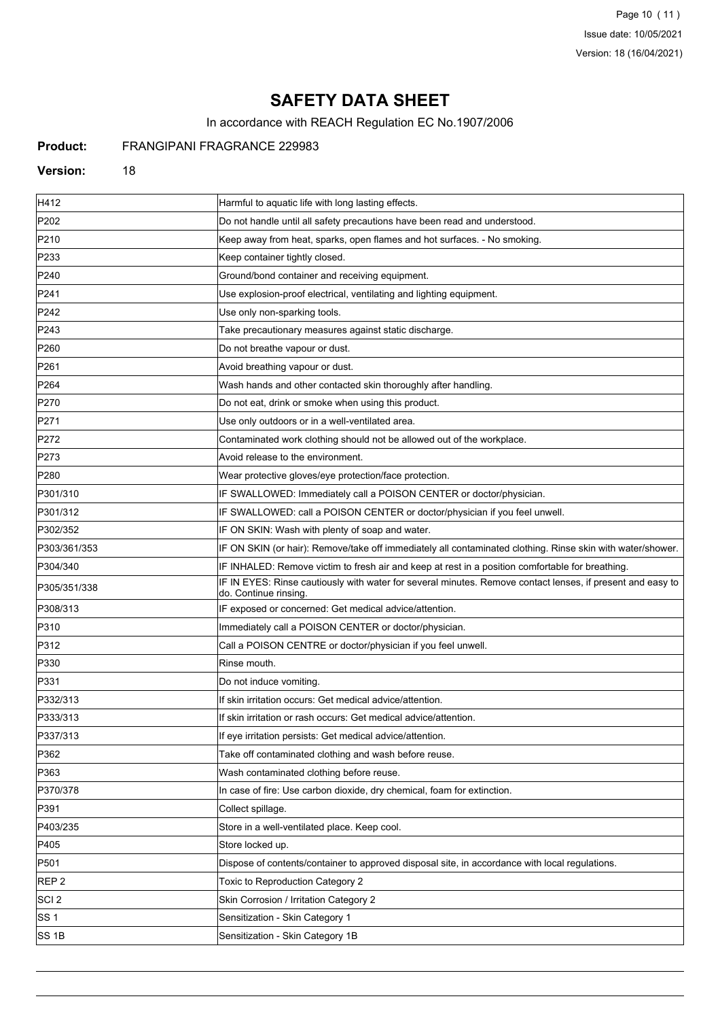Page 10 (11) Issue date: 10/05/2021 Version: 18 (16/04/2021)

# **SAFETY DATA SHEET**

In accordance with REACH Regulation EC No.1907/2006

## **Product:** FRANGIPANI FRAGRANCE 229983

#### **Version:** 18

| H412             | Harmful to aquatic life with long lasting effects.                                                                                 |
|------------------|------------------------------------------------------------------------------------------------------------------------------------|
| P202             | Do not handle until all safety precautions have been read and understood.                                                          |
| P210             | Keep away from heat, sparks, open flames and hot surfaces. - No smoking.                                                           |
| P233             | Keep container tightly closed.                                                                                                     |
| P240             | Ground/bond container and receiving equipment.                                                                                     |
| P241             | Use explosion-proof electrical, ventilating and lighting equipment.                                                                |
| P242             | Use only non-sparking tools.                                                                                                       |
| P243             | Take precautionary measures against static discharge.                                                                              |
| P260             | Do not breathe vapour or dust.                                                                                                     |
| P261             | Avoid breathing vapour or dust.                                                                                                    |
| P <sub>264</sub> | Wash hands and other contacted skin thoroughly after handling.                                                                     |
| P270             | Do not eat, drink or smoke when using this product.                                                                                |
| P271             | Use only outdoors or in a well-ventilated area.                                                                                    |
| P272             | Contaminated work clothing should not be allowed out of the workplace.                                                             |
| P273             | Avoid release to the environment.                                                                                                  |
| P280             | Wear protective gloves/eye protection/face protection.                                                                             |
| P301/310         | IF SWALLOWED: Immediately call a POISON CENTER or doctor/physician.                                                                |
| P301/312         | IF SWALLOWED: call a POISON CENTER or doctor/physician if you feel unwell.                                                         |
| P302/352         | IF ON SKIN: Wash with plenty of soap and water.                                                                                    |
| P303/361/353     | IF ON SKIN (or hair): Remove/take off immediately all contaminated clothing. Rinse skin with water/shower.                         |
| P304/340         | IF INHALED: Remove victim to fresh air and keep at rest in a position comfortable for breathing.                                   |
| P305/351/338     | IF IN EYES: Rinse cautiously with water for several minutes. Remove contact lenses, if present and easy to<br>do. Continue rinsing |
| P308/313         | IF exposed or concerned: Get medical advice/attention.                                                                             |
| P310             | Immediately call a POISON CENTER or doctor/physician.                                                                              |
| P312             | Call a POISON CENTRE or doctor/physician if you feel unwell.                                                                       |
| P330             | Rinse mouth.                                                                                                                       |
| P331             | Do not induce vomiting.                                                                                                            |
| P332/313         | If skin irritation occurs: Get medical advice/attention.                                                                           |
| P333/313         | If skin irritation or rash occurs: Get medical advice/attention.                                                                   |
| P337/313         | If eye irritation persists: Get medical advice/attention.                                                                          |
| P362             | Take off contaminated clothing and wash before reuse.                                                                              |
| P363             | Wash contaminated clothing before reuse.                                                                                           |
| P370/378         | In case of fire: Use carbon dioxide, dry chemical, foam for extinction.                                                            |
| P391             | Collect spillage.                                                                                                                  |
| P403/235         | Store in a well-ventilated place. Keep cool.                                                                                       |
| P405             | Store locked up.                                                                                                                   |
| P501             | Dispose of contents/container to approved disposal site, in accordance with local regulations.                                     |
| REP <sub>2</sub> | Toxic to Reproduction Category 2                                                                                                   |
| SCI <sub>2</sub> | Skin Corrosion / Irritation Category 2                                                                                             |
| SS 1             | Sensitization - Skin Category 1                                                                                                    |
| SS <sub>1B</sub> | Sensitization - Skin Category 1B                                                                                                   |